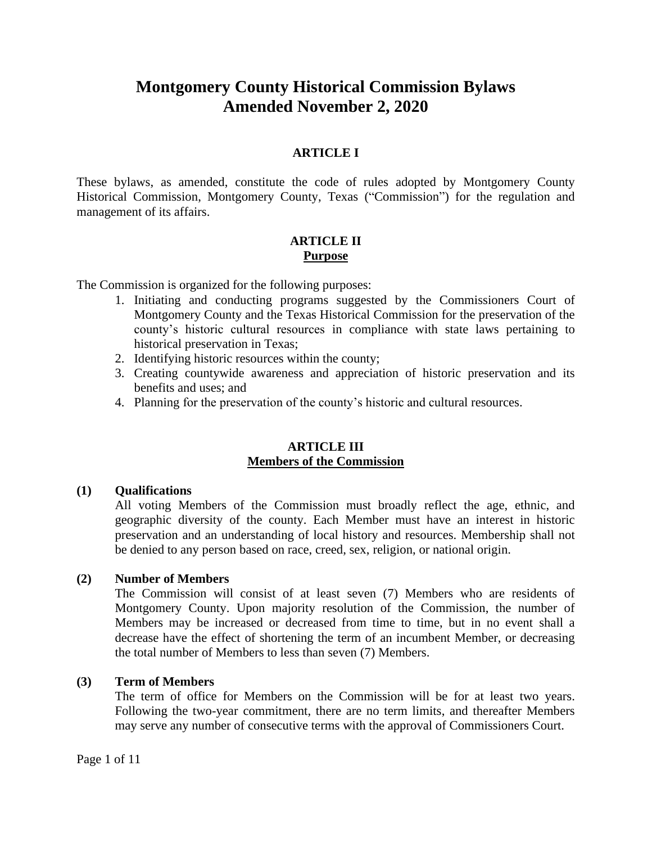# **Montgomery County Historical Commission Bylaws Amended November 2, 2020**

## **ARTICLE I**

These bylaws, as amended, constitute the code of rules adopted by Montgomery County Historical Commission, Montgomery County, Texas ("Commission") for the regulation and management of its affairs.

## **ARTICLE II Purpose**

The Commission is organized for the following purposes:

- 1. Initiating and conducting programs suggested by the Commissioners Court of Montgomery County and the Texas Historical Commission for the preservation of the county's historic cultural resources in compliance with state laws pertaining to historical preservation in Texas;
- 2. Identifying historic resources within the county;
- 3. Creating countywide awareness and appreciation of historic preservation and its benefits and uses; and
- 4. Planning for the preservation of the county's historic and cultural resources.

#### **ARTICLE III Members of the Commission**

#### **(1) Qualifications**

All voting Members of the Commission must broadly reflect the age, ethnic, and geographic diversity of the county. Each Member must have an interest in historic preservation and an understanding of local history and resources. Membership shall not be denied to any person based on race, creed, sex, religion, or national origin.

#### **(2) Number of Members**

The Commission will consist of at least seven (7) Members who are residents of Montgomery County. Upon majority resolution of the Commission, the number of Members may be increased or decreased from time to time, but in no event shall a decrease have the effect of shortening the term of an incumbent Member, or decreasing the total number of Members to less than seven (7) Members.

#### **(3) Term of Members**

The term of office for Members on the Commission will be for at least two years. Following the two-year commitment, there are no term limits, and thereafter Members may serve any number of consecutive terms with the approval of Commissioners Court.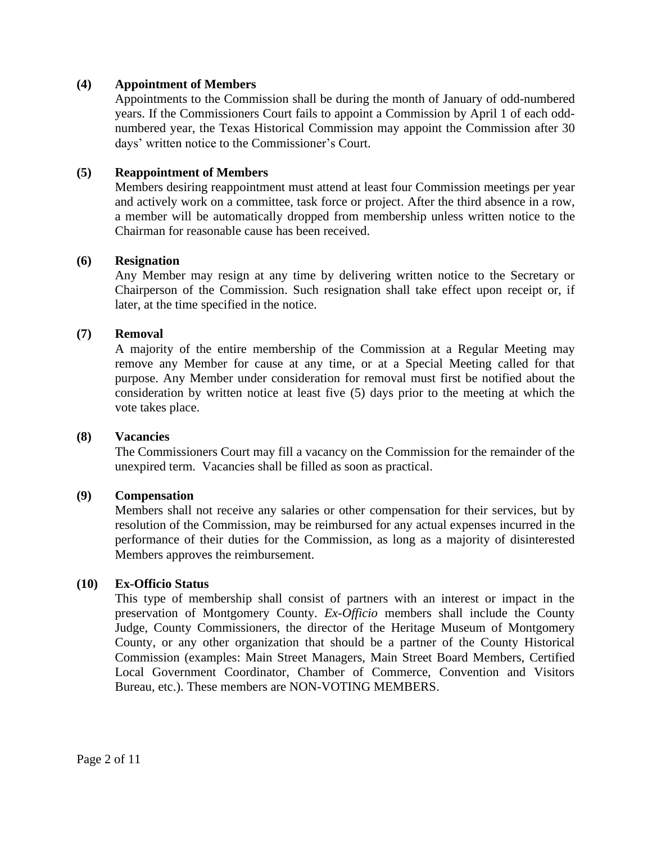## **(4) Appointment of Members**

Appointments to the Commission shall be during the month of January of odd-numbered years. If the Commissioners Court fails to appoint a Commission by April 1 of each oddnumbered year, the Texas Historical Commission may appoint the Commission after 30 days' written notice to the Commissioner's Court.

## **(5) Reappointment of Members**

Members desiring reappointment must attend at least four Commission meetings per year and actively work on a committee, task force or project. After the third absence in a row, a member will be automatically dropped from membership unless written notice to the Chairman for reasonable cause has been received.

## **(6) Resignation**

Any Member may resign at any time by delivering written notice to the Secretary or Chairperson of the Commission. Such resignation shall take effect upon receipt or, if later, at the time specified in the notice.

## **(7) Removal**

A majority of the entire membership of the Commission at a Regular Meeting may remove any Member for cause at any time, or at a Special Meeting called for that purpose. Any Member under consideration for removal must first be notified about the consideration by written notice at least five (5) days prior to the meeting at which the vote takes place.

#### **(8) Vacancies**

The Commissioners Court may fill a vacancy on the Commission for the remainder of the unexpired term. Vacancies shall be filled as soon as practical.

#### **(9) Compensation**

Members shall not receive any salaries or other compensation for their services, but by resolution of the Commission, may be reimbursed for any actual expenses incurred in the performance of their duties for the Commission, as long as a majority of disinterested Members approves the reimbursement.

#### **(10) Ex-Officio Status**

This type of membership shall consist of partners with an interest or impact in the preservation of Montgomery County. *Ex-Officio* members shall include the County Judge, County Commissioners, the director of the Heritage Museum of Montgomery County, or any other organization that should be a partner of the County Historical Commission (examples: Main Street Managers, Main Street Board Members, Certified Local Government Coordinator, Chamber of Commerce, Convention and Visitors Bureau, etc.). These members are NON-VOTING MEMBERS.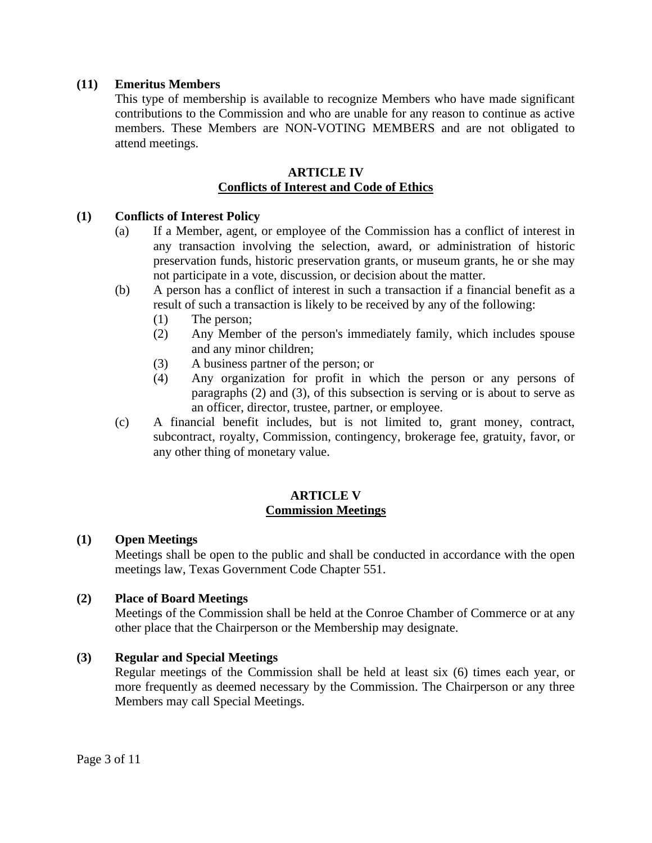## **(11) Emeritus Members**

This type of membership is available to recognize Members who have made significant contributions to the Commission and who are unable for any reason to continue as active members. These Members are NON-VOTING MEMBERS and are not obligated to attend meetings.

## **ARTICLE IV Conflicts of Interest and Code of Ethics**

## **(1) Conflicts of Interest Policy**

- (a) If a Member, agent, or employee of the Commission has a conflict of interest in any transaction involving the selection, award, or administration of historic preservation funds, historic preservation grants, or museum grants, he or she may not participate in a vote, discussion, or decision about the matter.
- (b) A person has a conflict of interest in such a transaction if a financial benefit as a result of such a transaction is likely to be received by any of the following:
	- (1) The person;
	- (2) Any Member of the person's immediately family, which includes spouse and any minor children;
	- (3) A business partner of the person; or
	- (4) Any organization for profit in which the person or any persons of paragraphs (2) and (3), of this subsection is serving or is about to serve as an officer, director, trustee, partner, or employee.
- (c) A financial benefit includes, but is not limited to, grant money, contract, subcontract, royalty, Commission, contingency, brokerage fee, gratuity, favor, or any other thing of monetary value.

## **ARTICLE V Commission Meetings**

## **(1) Open Meetings**

Meetings shall be open to the public and shall be conducted in accordance with the open meetings law, Texas Government Code Chapter 551.

#### **(2) Place of Board Meetings**

Meetings of the Commission shall be held at the Conroe Chamber of Commerce or at any other place that the Chairperson or the Membership may designate.

#### **(3) Regular and Special Meetings**

Regular meetings of the Commission shall be held at least six (6) times each year, or more frequently as deemed necessary by the Commission. The Chairperson or any three Members may call Special Meetings.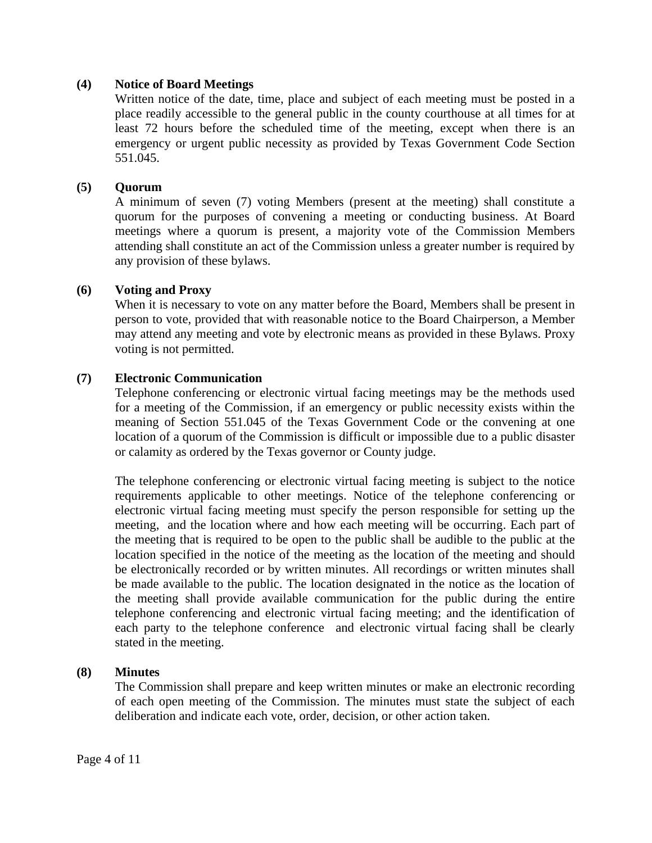## **(4) Notice of Board Meetings**

Written notice of the date, time, place and subject of each meeting must be posted in a place readily accessible to the general public in the county courthouse at all times for at least 72 hours before the scheduled time of the meeting, except when there is an emergency or urgent public necessity as provided by Texas Government Code Section 551.045.

## **(5) Quorum**

A minimum of seven (7) voting Members (present at the meeting) shall constitute a quorum for the purposes of convening a meeting or conducting business. At Board meetings where a quorum is present, a majority vote of the Commission Members attending shall constitute an act of the Commission unless a greater number is required by any provision of these bylaws.

#### **(6) Voting and Proxy**

When it is necessary to vote on any matter before the Board, Members shall be present in person to vote, provided that with reasonable notice to the Board Chairperson, a Member may attend any meeting and vote by electronic means as provided in these Bylaws. Proxy voting is not permitted.

## **(7) Electronic Communication**

Telephone conferencing or electronic virtual facing meetings may be the methods used for a meeting of the Commission, if an emergency or public necessity exists within the meaning of Section 551.045 of the Texas Government Code or the convening at one location of a quorum of the Commission is difficult or impossible due to a public disaster or calamity as ordered by the Texas governor or County judge.

The telephone conferencing or electronic virtual facing meeting is subject to the notice requirements applicable to other meetings. Notice of the telephone conferencing or electronic virtual facing meeting must specify the person responsible for setting up the meeting, and the location where and how each meeting will be occurring. Each part of the meeting that is required to be open to the public shall be audible to the public at the location specified in the notice of the meeting as the location of the meeting and should be electronically recorded or by written minutes. All recordings or written minutes shall be made available to the public. The location designated in the notice as the location of the meeting shall provide available communication for the public during the entire telephone conferencing and electronic virtual facing meeting; and the identification of each party to the telephone conference and electronic virtual facing shall be clearly stated in the meeting.

#### **(8) Minutes**

The Commission shall prepare and keep written minutes or make an electronic recording of each open meeting of the Commission. The minutes must state the subject of each deliberation and indicate each vote, order, decision, or other action taken.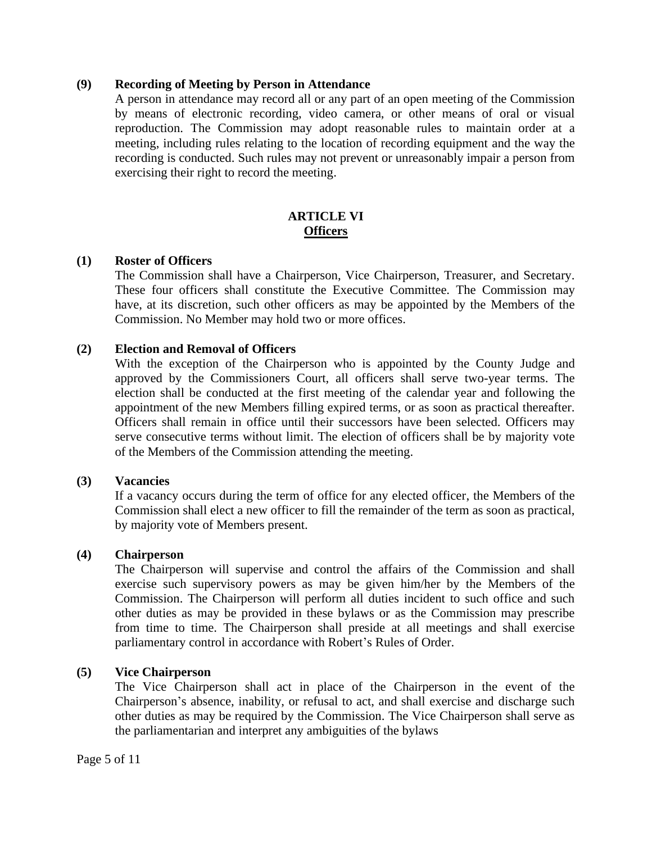#### **(9) Recording of Meeting by Person in Attendance**

A person in attendance may record all or any part of an open meeting of the Commission by means of electronic recording, video camera, or other means of oral or visual reproduction. The Commission may adopt reasonable rules to maintain order at a meeting, including rules relating to the location of recording equipment and the way the recording is conducted. Such rules may not prevent or unreasonably impair a person from exercising their right to record the meeting.

## **ARTICLE VI Officers**

#### **(1) Roster of Officers**

The Commission shall have a Chairperson, Vice Chairperson, Treasurer, and Secretary. These four officers shall constitute the Executive Committee. The Commission may have, at its discretion, such other officers as may be appointed by the Members of the Commission. No Member may hold two or more offices.

#### **(2) Election and Removal of Officers**

With the exception of the Chairperson who is appointed by the County Judge and approved by the Commissioners Court, all officers shall serve two-year terms. The election shall be conducted at the first meeting of the calendar year and following the appointment of the new Members filling expired terms, or as soon as practical thereafter. Officers shall remain in office until their successors have been selected. Officers may serve consecutive terms without limit. The election of officers shall be by majority vote of the Members of the Commission attending the meeting.

#### **(3) Vacancies**

If a vacancy occurs during the term of office for any elected officer, the Members of the Commission shall elect a new officer to fill the remainder of the term as soon as practical, by majority vote of Members present.

#### **(4) Chairperson**

The Chairperson will supervise and control the affairs of the Commission and shall exercise such supervisory powers as may be given him/her by the Members of the Commission. The Chairperson will perform all duties incident to such office and such other duties as may be provided in these bylaws or as the Commission may prescribe from time to time. The Chairperson shall preside at all meetings and shall exercise parliamentary control in accordance with Robert's Rules of Order.

#### **(5) Vice Chairperson**

The Vice Chairperson shall act in place of the Chairperson in the event of the Chairperson's absence, inability, or refusal to act, and shall exercise and discharge such other duties as may be required by the Commission. The Vice Chairperson shall serve as the parliamentarian and interpret any ambiguities of the bylaws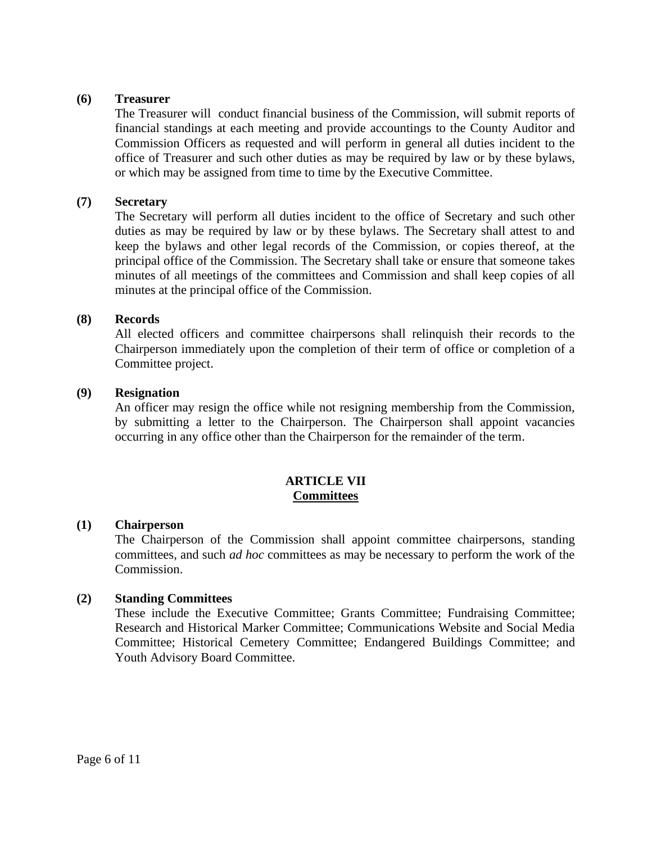#### **(6) Treasurer**

The Treasurer will conduct financial business of the Commission, will submit reports of financial standings at each meeting and provide accountings to the County Auditor and Commission Officers as requested and will perform in general all duties incident to the office of Treasurer and such other duties as may be required by law or by these bylaws, or which may be assigned from time to time by the Executive Committee.

## **(7) Secretary**

The Secretary will perform all duties incident to the office of Secretary and such other duties as may be required by law or by these bylaws. The Secretary shall attest to and keep the bylaws and other legal records of the Commission, or copies thereof, at the principal office of the Commission. The Secretary shall take or ensure that someone takes minutes of all meetings of the committees and Commission and shall keep copies of all minutes at the principal office of the Commission.

#### **(8) Records**

All elected officers and committee chairpersons shall relinquish their records to the Chairperson immediately upon the completion of their term of office or completion of a Committee project.

#### **(9) Resignation**

An officer may resign the office while not resigning membership from the Commission, by submitting a letter to the Chairperson. The Chairperson shall appoint vacancies occurring in any office other than the Chairperson for the remainder of the term.

#### **ARTICLE VII Committees**

#### **(1) Chairperson**

The Chairperson of the Commission shall appoint committee chairpersons, standing committees, and such *ad hoc* committees as may be necessary to perform the work of the Commission.

#### **(2) Standing Committees**

These include the Executive Committee; Grants Committee; Fundraising Committee; Research and Historical Marker Committee; Communications Website and Social Media Committee; Historical Cemetery Committee; Endangered Buildings Committee; and Youth Advisory Board Committee.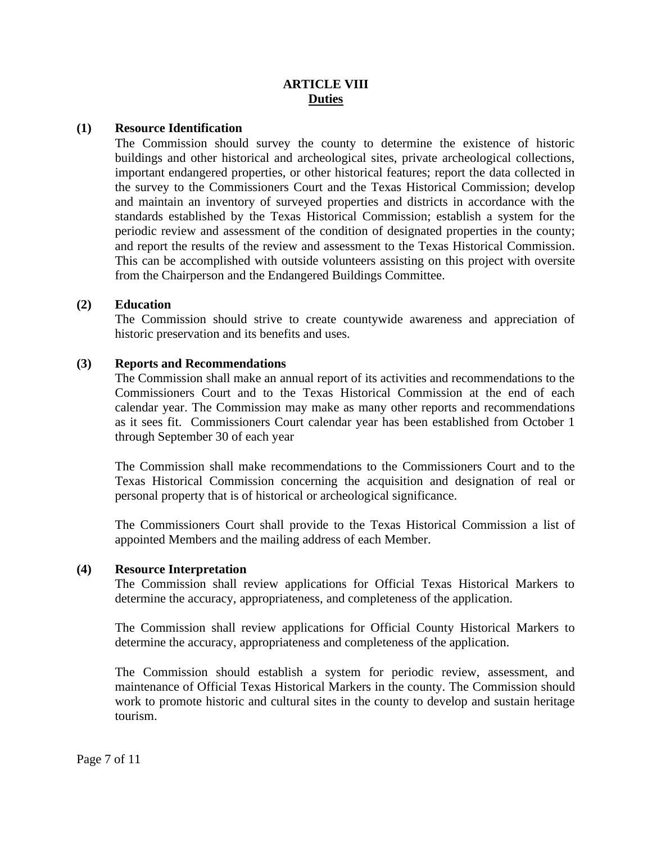## **ARTICLE VIII Duties**

#### **(1) Resource Identification**

The Commission should survey the county to determine the existence of historic buildings and other historical and archeological sites, private archeological collections, important endangered properties, or other historical features; report the data collected in the survey to the Commissioners Court and the Texas Historical Commission; develop and maintain an inventory of surveyed properties and districts in accordance with the standards established by the Texas Historical Commission; establish a system for the periodic review and assessment of the condition of designated properties in the county; and report the results of the review and assessment to the Texas Historical Commission. This can be accomplished with outside volunteers assisting on this project with oversite from the Chairperson and the Endangered Buildings Committee.

### **(2) Education**

The Commission should strive to create countywide awareness and appreciation of historic preservation and its benefits and uses.

## **(3) Reports and Recommendations**

The Commission shall make an annual report of its activities and recommendations to the Commissioners Court and to the Texas Historical Commission at the end of each calendar year. The Commission may make as many other reports and recommendations as it sees fit. Commissioners Court calendar year has been established from October 1 through September 30 of each year

The Commission shall make recommendations to the Commissioners Court and to the Texas Historical Commission concerning the acquisition and designation of real or personal property that is of historical or archeological significance.

The Commissioners Court shall provide to the Texas Historical Commission a list of appointed Members and the mailing address of each Member.

#### **(4) Resource Interpretation**

The Commission shall review applications for Official Texas Historical Markers to determine the accuracy, appropriateness, and completeness of the application.

The Commission shall review applications for Official County Historical Markers to determine the accuracy, appropriateness and completeness of the application.

The Commission should establish a system for periodic review, assessment, and maintenance of Official Texas Historical Markers in the county. The Commission should work to promote historic and cultural sites in the county to develop and sustain heritage tourism.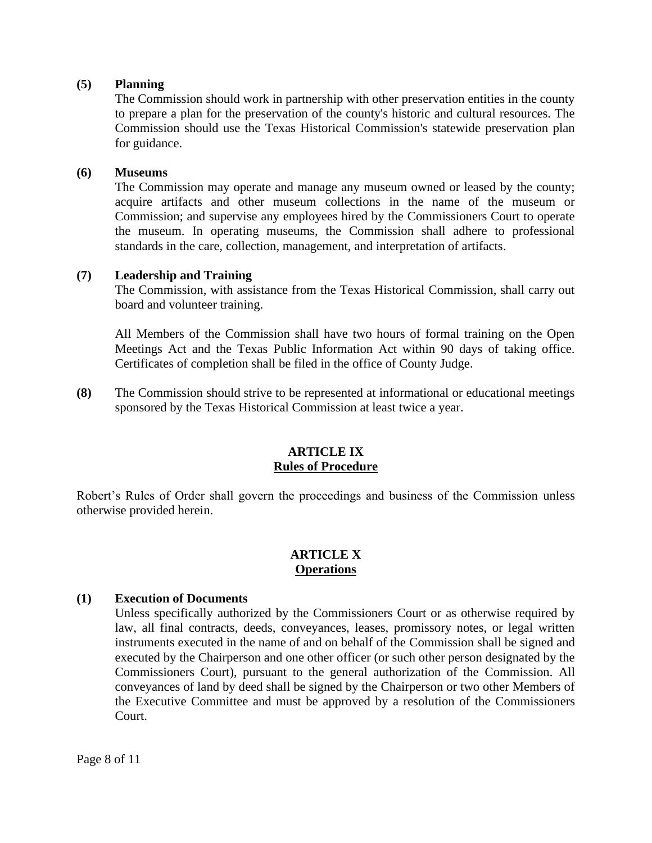## **(5) Planning**

The Commission should work in partnership with other preservation entities in the county to prepare a plan for the preservation of the county's historic and cultural resources. The Commission should use the Texas Historical Commission's statewide preservation plan for guidance.

#### **(6) Museums**

The Commission may operate and manage any museum owned or leased by the county; acquire artifacts and other museum collections in the name of the museum or Commission; and supervise any employees hired by the Commissioners Court to operate the museum. In operating museums, the Commission shall adhere to professional standards in the care, collection, management, and interpretation of artifacts.

## **(7) Leadership and Training**

The Commission, with assistance from the Texas Historical Commission, shall carry out board and volunteer training.

All Members of the Commission shall have two hours of formal training on the Open Meetings Act and the Texas Public Information Act within 90 days of taking office. Certificates of completion shall be filed in the office of County Judge.

**(8)** The Commission should strive to be represented at informational or educational meetings sponsored by the Texas Historical Commission at least twice a year.

## **ARTICLE IX Rules of Procedure**

Robert's Rules of Order shall govern the proceedings and business of the Commission unless otherwise provided herein.

#### **ARTICLE X Operations**

#### **(1) Execution of Documents**

Unless specifically authorized by the Commissioners Court or as otherwise required by law, all final contracts, deeds, conveyances, leases, promissory notes, or legal written instruments executed in the name of and on behalf of the Commission shall be signed and executed by the Chairperson and one other officer (or such other person designated by the Commissioners Court), pursuant to the general authorization of the Commission. All conveyances of land by deed shall be signed by the Chairperson or two other Members of the Executive Committee and must be approved by a resolution of the Commissioners Court.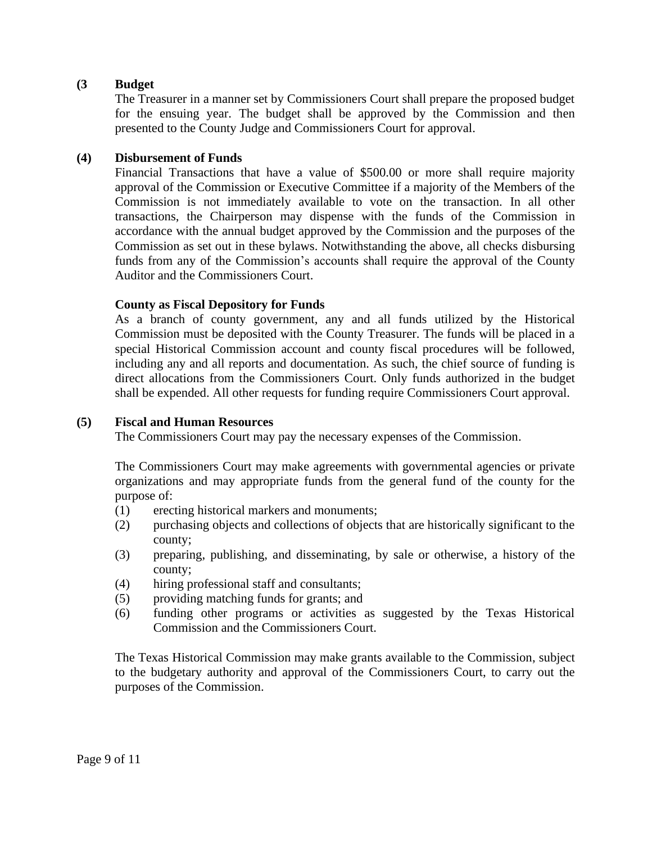## **(3 Budget**

The Treasurer in a manner set by Commissioners Court shall prepare the proposed budget for the ensuing year. The budget shall be approved by the Commission and then presented to the County Judge and Commissioners Court for approval.

## **(4) Disbursement of Funds**

Financial Transactions that have a value of \$500.00 or more shall require majority approval of the Commission or Executive Committee if a majority of the Members of the Commission is not immediately available to vote on the transaction. In all other transactions, the Chairperson may dispense with the funds of the Commission in accordance with the annual budget approved by the Commission and the purposes of the Commission as set out in these bylaws. Notwithstanding the above, all checks disbursing funds from any of the Commission's accounts shall require the approval of the County Auditor and the Commissioners Court.

## **County as Fiscal Depository for Funds**

As a branch of county government, any and all funds utilized by the Historical Commission must be deposited with the County Treasurer. The funds will be placed in a special Historical Commission account and county fiscal procedures will be followed, including any and all reports and documentation. As such, the chief source of funding is direct allocations from the Commissioners Court. Only funds authorized in the budget shall be expended. All other requests for funding require Commissioners Court approval.

#### **(5) Fiscal and Human Resources**

The Commissioners Court may pay the necessary expenses of the Commission.

The Commissioners Court may make agreements with governmental agencies or private organizations and may appropriate funds from the general fund of the county for the purpose of:

- (1) erecting historical markers and monuments;
- (2) purchasing objects and collections of objects that are historically significant to the county;
- (3) preparing, publishing, and disseminating, by sale or otherwise, a history of the county;
- (4) hiring professional staff and consultants;
- (5) providing matching funds for grants; and
- (6) funding other programs or activities as suggested by the Texas Historical Commission and the Commissioners Court.

The Texas Historical Commission may make grants available to the Commission, subject to the budgetary authority and approval of the Commissioners Court, to carry out the purposes of the Commission.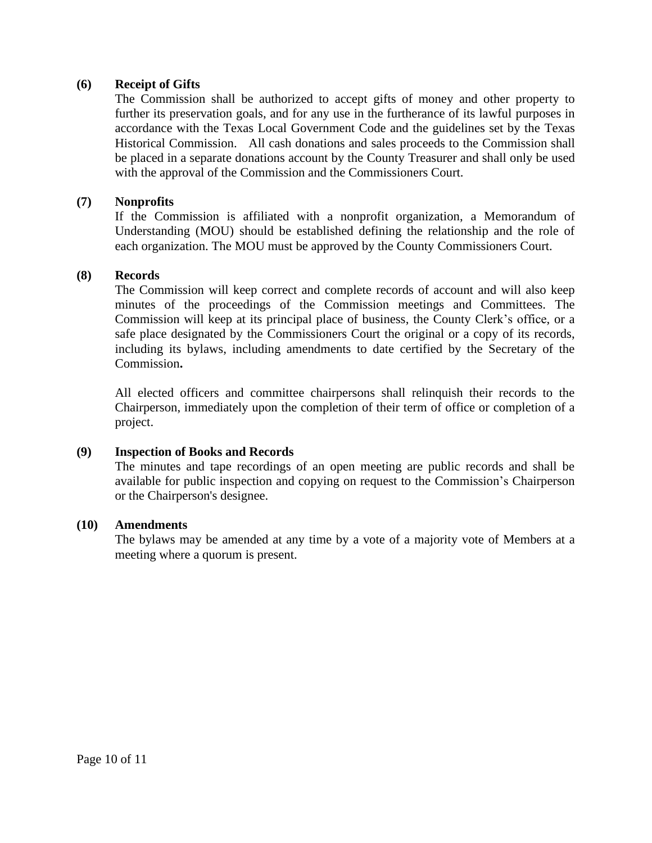## **(6) Receipt of Gifts**

The Commission shall be authorized to accept gifts of money and other property to further its preservation goals, and for any use in the furtherance of its lawful purposes in accordance with the Texas Local Government Code and the guidelines set by the Texas Historical Commission. All cash donations and sales proceeds to the Commission shall be placed in a separate donations account by the County Treasurer and shall only be used with the approval of the Commission and the Commissioners Court.

#### **(7) Nonprofits**

If the Commission is affiliated with a nonprofit organization, a Memorandum of Understanding (MOU) should be established defining the relationship and the role of each organization. The MOU must be approved by the County Commissioners Court.

#### **(8) Records**

The Commission will keep correct and complete records of account and will also keep minutes of the proceedings of the Commission meetings and Committees. The Commission will keep at its principal place of business, the County Clerk's office, or a safe place designated by the Commissioners Court the original or a copy of its records, including its bylaws, including amendments to date certified by the Secretary of the Commission**.** 

All elected officers and committee chairpersons shall relinquish their records to the Chairperson, immediately upon the completion of their term of office or completion of a project.

#### **(9) Inspection of Books and Records**

The minutes and tape recordings of an open meeting are public records and shall be available for public inspection and copying on request to the Commission's Chairperson or the Chairperson's designee.

#### **(10) Amendments**

The bylaws may be amended at any time by a vote of a majority vote of Members at a meeting where a quorum is present.